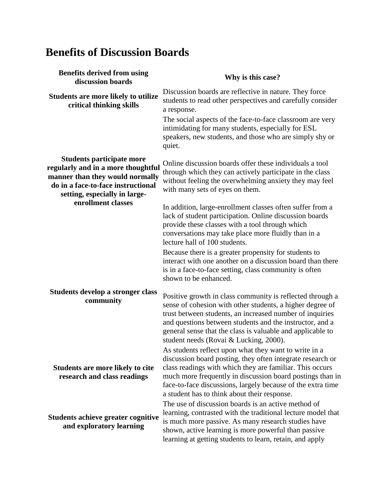## **Benefits of Discussion Boards**

| <b>Benefits derived from using</b><br>discussion boards                                                                                                                                                | Why is this case?                                                                                                                                                                                                                                                                                                                                           |
|--------------------------------------------------------------------------------------------------------------------------------------------------------------------------------------------------------|-------------------------------------------------------------------------------------------------------------------------------------------------------------------------------------------------------------------------------------------------------------------------------------------------------------------------------------------------------------|
| <b>Students are more likely to utilize</b><br>critical thinking skills                                                                                                                                 | Discussion boards are reflective in nature. They force<br>students to read other perspectives and carefully consider<br>a response.                                                                                                                                                                                                                         |
|                                                                                                                                                                                                        | The social aspects of the face-to-face classroom are very<br>intimidating for many students, especially for ESL<br>speakers, new students, and those who are simply shy or<br>quiet.                                                                                                                                                                        |
| <b>Students participate more</b><br>regularly and in a more thoughtful<br>manner than they would normally<br>do in a face-to-face instructional<br>setting, especially in large-<br>enrollment classes | Online discussion boards offer these individuals a tool<br>through which they can actively participate in the class<br>without feeling the overwhelming anxiety they may feel<br>with many sets of eyes on them.                                                                                                                                            |
|                                                                                                                                                                                                        | In addition, large-enrollment classes often suffer from a<br>lack of student participation. Online discussion boards<br>provide these classes with a tool through which<br>conversations may take place more fluidly than in a<br>lecture hall of 100 students.                                                                                             |
|                                                                                                                                                                                                        | Because there is a greater propensity for students to<br>interact with one another on a discussion board than there<br>is in a face-to-face setting, class community is often<br>shown to be enhanced.                                                                                                                                                      |
| Students develop a stronger class<br>community                                                                                                                                                         | Positive growth in class community is reflected through a<br>sense of cohesion with other students, a higher degree of<br>trust between students, an increased number of inquiries<br>and questions between students and the instructor, and a<br>general sense that the class is valuable and applicable to<br>student needs (Rovai & Lucking, 2000).      |
| <b>Students are more likely to cite</b><br>research and class readings                                                                                                                                 | As students reflect upon what they want to write in a<br>discussion board posting, they often integrate research or<br>class readings with which they are familiar. This occurs<br>much more frequently in discussion board postings than in<br>face-to-face discussions, largely because of the extra time<br>a student has to think about their response. |
| <b>Students achieve greater cognitive</b><br>and exploratory learning                                                                                                                                  | The use of discussion boards is an active method of<br>learning, contrasted with the traditional lecture model that<br>is much more passive. As many research studies have<br>shown, active learning is more powerful than passive<br>learning at getting students to learn, retain, and apply                                                              |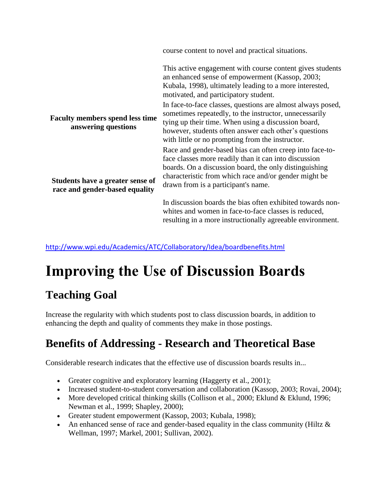|                                                                    | course content to novel and practical situations.                                                                                                                                                                                                                                         |
|--------------------------------------------------------------------|-------------------------------------------------------------------------------------------------------------------------------------------------------------------------------------------------------------------------------------------------------------------------------------------|
|                                                                    | This active engagement with course content gives students<br>an enhanced sense of empowerment (Kassop, 2003;<br>Kubala, 1998), ultimately leading to a more interested,<br>motivated, and participatory student.                                                                          |
| <b>Faculty members spend less time</b><br>answering questions      | In face-to-face classes, questions are almost always posed,<br>sometimes repeatedly, to the instructor, unnecessarily<br>tying up their time. When using a discussion board,<br>however, students often answer each other's questions<br>with little or no prompting from the instructor. |
| Students have a greater sense of<br>race and gender-based equality | Race and gender-based bias can often creep into face-to-<br>face classes more readily than it can into discussion<br>boards. On a discussion board, the only distinguishing<br>characteristic from which race and/or gender might be<br>drawn from is a participant's name.               |
|                                                                    | In discussion boards the bias often exhibited towards non-<br>whites and women in face-to-face classes is reduced,                                                                                                                                                                        |

resulting in a more instructionally agreeable environment.

http://www.wpi.edu/Academics/ATC/Collaboratory/Idea/boardbenefits.html

# **Improving the Use of Discussion Boards**

## **Teaching Goal**

Increase the regularity with which students post to class discussion boards, in addition to enhancing the depth and quality of comments they make in those postings.

#### **Benefits of Addressing - Research and Theoretical Base**

Considerable research indicates that the effective use of discussion boards results in...

- Greater cognitive and exploratory learning (Haggerty et al., 2001);
- Increased student-to-student conversation and collaboration (Kassop, 2003; Rovai, 2004);
- More developed critical thinking skills (Collison et al., 2000; Eklund & Eklund, 1996; Newman et al., 1999; Shapley, 2000);
- Greater student empowerment (Kassop, 2003; Kubala, 1998);
- An enhanced sense of race and gender-based equality in the class community (Hiltz & Wellman, 1997; Markel, 2001; Sullivan, 2002).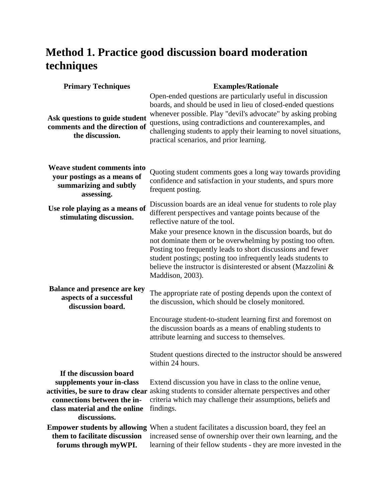## **Method 1. Practice good discussion board moderation techniques**

| <b>Primary Techniques</b>                                                                          | <b>Examples/Rationale</b>                                                                                                                                                                                                                                                                                                                                               |
|----------------------------------------------------------------------------------------------------|-------------------------------------------------------------------------------------------------------------------------------------------------------------------------------------------------------------------------------------------------------------------------------------------------------------------------------------------------------------------------|
| Ask questions to guide student<br>comments and the direction of<br>the discussion.                 | Open-ended questions are particularly useful in discussion<br>boards, and should be used in lieu of closed-ended questions<br>whenever possible. Play "devil's advocate" by asking probing<br>questions, using contradictions and counterexamples, and<br>challenging students to apply their learning to novel situations,<br>practical scenarios, and prior learning. |
| Weave student comments into<br>your postings as a means of<br>summarizing and subtly<br>assessing. | Quoting student comments goes a long way towards providing<br>confidence and satisfaction in your students, and spurs more<br>frequent posting.                                                                                                                                                                                                                         |
| Use role playing as a means of<br>stimulating discussion.                                          | Discussion boards are an ideal venue for students to role play<br>different perspectives and vantage points because of the<br>reflective nature of the tool.                                                                                                                                                                                                            |
|                                                                                                    | Make your presence known in the discussion boards, but do<br>not dominate them or be overwhelming by posting too often.<br>Posting too frequently leads to short discussions and fewer<br>student postings; posting too infrequently leads students to<br>believe the instructor is disinterested or absent (Mazzolini &<br>Maddison, 2003).                            |
| <b>Balance and presence are key</b><br>aspects of a successful<br>discussion board.                | The appropriate rate of posting depends upon the context of<br>the discussion, which should be closely monitored.                                                                                                                                                                                                                                                       |
|                                                                                                    | Encourage student-to-student learning first and foremost on<br>the discussion boards as a means of enabling students to<br>attribute learning and success to themselves.                                                                                                                                                                                                |
|                                                                                                    | Student questions directed to the instructor should be answered<br>within 24 hours.                                                                                                                                                                                                                                                                                     |
| If the discussion board                                                                            |                                                                                                                                                                                                                                                                                                                                                                         |
| supplements your in-class                                                                          | Extend discussion you have in class to the online venue,                                                                                                                                                                                                                                                                                                                |
| connections between the in-                                                                        | activities, be sure to draw clear asking students to consider alternate perspectives and other<br>criteria which may challenge their assumptions, beliefs and                                                                                                                                                                                                           |
| class material and the online                                                                      | findings.                                                                                                                                                                                                                                                                                                                                                               |
| discussions.                                                                                       |                                                                                                                                                                                                                                                                                                                                                                         |
| them to facilitate discussion<br>forums through myWPI.                                             | <b>Empower students by allowing</b> When a student facilitates a discussion board, they feel an<br>increased sense of ownership over their own learning, and the<br>learning of their fellow students - they are more invested in the                                                                                                                                   |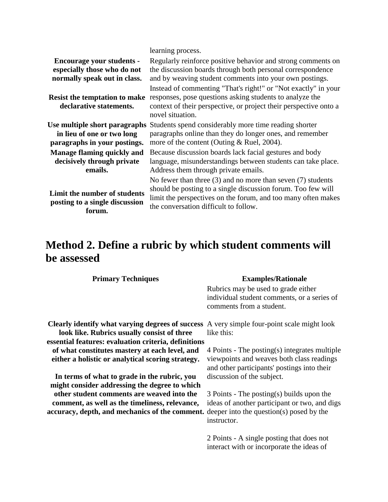| <b>Encourage your students -</b><br>especially those who do not<br>normally speak out in class.<br><b>Resist the temptation to make</b><br>declarative statements. | learning process.<br>Regularly reinforce positive behavior and strong comments on<br>the discussion boards through both personal correspondence<br>and by weaving student comments into your own postings.<br>Instead of commenting "That's right!" or "Not exactly" in your<br>responses, pose questions asking students to analyze the<br>context of their perspective, or project their perspective onto a<br>novel situation. |
|--------------------------------------------------------------------------------------------------------------------------------------------------------------------|-----------------------------------------------------------------------------------------------------------------------------------------------------------------------------------------------------------------------------------------------------------------------------------------------------------------------------------------------------------------------------------------------------------------------------------|
| Use multiple short paragraphs                                                                                                                                      | Students spend considerably more time reading shorter                                                                                                                                                                                                                                                                                                                                                                             |
| in lieu of one or two long                                                                                                                                         | paragraphs online than they do longer ones, and remember                                                                                                                                                                                                                                                                                                                                                                          |
| paragraphs in your postings.                                                                                                                                       | more of the content (Outing $& Ruel, 2004$ ).                                                                                                                                                                                                                                                                                                                                                                                     |
| Manage flaming quickly and                                                                                                                                         | Because discussion boards lack facial gestures and body                                                                                                                                                                                                                                                                                                                                                                           |
| decisively through private                                                                                                                                         | language, misunderstandings between students can take place.                                                                                                                                                                                                                                                                                                                                                                      |
| emails.                                                                                                                                                            | Address them through private emails.                                                                                                                                                                                                                                                                                                                                                                                              |
| Limit the number of students<br>posting to a single discussion<br>forum.                                                                                           | No fewer than three $(3)$ and no more than seven $(7)$ students<br>should be posting to a single discussion forum. Too few will<br>limit the perspectives on the forum, and too many often makes<br>the conversation difficult to follow.                                                                                                                                                                                         |

### **Method 2. Define a rubric by which student comments will be assessed**

| <b>Primary Techniques</b>                                                               | <b>Examples/Rationale</b>                                                                                      |
|-----------------------------------------------------------------------------------------|----------------------------------------------------------------------------------------------------------------|
|                                                                                         | Rubrics may be used to grade either<br>individual student comments, or a series of<br>comments from a student. |
| Clearly identify what varying degrees of success                                        | A very simple four-point scale might look                                                                      |
| look like. Rubrics usually consist of three                                             | like this:                                                                                                     |
| essential features: evaluation criteria, definitions                                    |                                                                                                                |
| of what constitutes mastery at each level, and                                          | $4$ Points - The posting(s) integrates multiple                                                                |
| either a holistic or analytical scoring strategy.                                       | viewpoints and weaves both class readings<br>and other participants' postings into their                       |
| In terms of what to grade in the rubric, you                                            | discussion of the subject.                                                                                     |
| might consider addressing the degree to which                                           |                                                                                                                |
| other student comments are weaved into the                                              | $\beta$ Points - The posting(s) builds upon the                                                                |
| comment, as well as the timeliness, relevance,                                          | ideas of another participant or two, and digs                                                                  |
| accuracy, depth, and mechanics of the comment. deeper into the question(s) posed by the |                                                                                                                |
|                                                                                         | instructor.                                                                                                    |
|                                                                                         | 2 Points - A single posting that does not<br>interact with or incorporate the ideas of                         |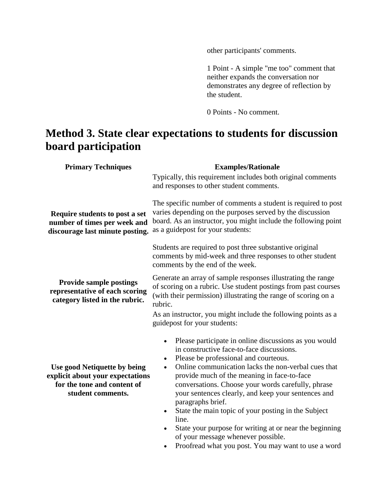other participants' comments.

1 Point - A simple "me too" comment that neither expands the conversation nor demonstrates any degree of reflection by the student.

0 Points - No comment.

#### **Method 3. State clear expectations to students for discussion board participation**

| <b>Primary Techniques</b>                                                                                            | <b>Examples/Rationale</b>                                                                                                                                                                                                                                                                                                                                                                                                  |  |
|----------------------------------------------------------------------------------------------------------------------|----------------------------------------------------------------------------------------------------------------------------------------------------------------------------------------------------------------------------------------------------------------------------------------------------------------------------------------------------------------------------------------------------------------------------|--|
|                                                                                                                      | Typically, this requirement includes both original comments<br>and responses to other student comments.                                                                                                                                                                                                                                                                                                                    |  |
| Require students to post a set<br>number of times per week and<br>discourage last minute posting.                    | The specific number of comments a student is required to post<br>varies depending on the purposes served by the discussion<br>board. As an instructor, you might include the following point<br>as a guidepost for your students:                                                                                                                                                                                          |  |
|                                                                                                                      | Students are required to post three substantive original<br>comments by mid-week and three responses to other student<br>comments by the end of the week.                                                                                                                                                                                                                                                                  |  |
| <b>Provide sample postings</b><br>representative of each scoring<br>category listed in the rubric.                   | Generate an array of sample responses illustrating the range<br>of scoring on a rubric. Use student postings from past courses<br>(with their permission) illustrating the range of scoring on a<br>rubric.                                                                                                                                                                                                                |  |
|                                                                                                                      | As an instructor, you might include the following points as a<br>guidepost for your students:                                                                                                                                                                                                                                                                                                                              |  |
| Use good Netiquette by being<br>explicit about your expectations<br>for the tone and content of<br>student comments. | Please participate in online discussions as you would<br>$\bullet$<br>in constructive face-to-face discussions.<br>Please be professional and courteous.<br>$\bullet$<br>Online communication lacks the non-verbal cues that<br>$\bullet$<br>provide much of the meaning in face-to-face<br>conversations. Choose your words carefully, phrase<br>your sentences clearly, and keep your sentences and<br>paragraphs brief. |  |
|                                                                                                                      | State the main topic of your posting in the Subject<br>$\bullet$<br>line.<br>State your purpose for writing at or near the beginning<br>$\bullet$<br>of your message whenever possible.<br>Proofread what you post. You may want to use a word                                                                                                                                                                             |  |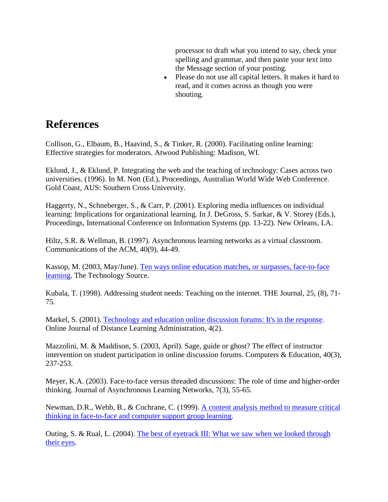processor to draft what you intend to say, check your spelling and grammar, and then paste your text into the Message section of your posting.

• Please do not use all capital letters. It makes it hard to read, and it comes across as though you were shouting.

#### **References**

Collison, G., Elbaum, B., Haavind, S., & Tinker, R. (2000). Facilitating online learning: Effective strategies for moderators. Atwood Publishing: Madison, WI.

Eklund, J., & Eklund, P. Integrating the web and the teaching of technology: Cases across two universities. (1996). In M. Nott (Ed.), Proceedings, Australian World Wide Web Conference. Gold Coast, AUS: Southern Cross University.

Haggerty, N., Schneberger, S., & Carr, P. (2001). Exploring media influences on individual learning: Implications for organizational learning. In J. DeGross, S. Sarkar, & V. Storey (Eds.), Proceedings, International Conference on Information Systems (pp. 13-22). New Orleans, LA.

Hiltz, S.R. & Wellman, B. (1997). Asynchronous learning networks as a virtual classroom. Communications of the ACM, 40(9), 44-49.

Kassop, M. (2003, May/June). Ten ways online education matches, or surpasses, face-to-face learning. The Technology Source.

Kubala, T. (1998). Addressing student needs: Teaching on the internet. THE Journal, 25, (8), 71- 75.

Markel, S. (2001). Technology and education online discussion forums: It's in the response. Online Journal of Distance Learning Administration, 4(2).

Mazzolini, M. & Maddison, S. (2003, April). Sage, guide or ghost? The effect of instructor intervention on student participation in online discussion forums. Computers & Education, 40(3), 237-253.

Meyer, K.A. (2003). Face-to-face versus threaded discussions: The role of time and higher-order thinking. Journal of Asynchronous Learning Networks, 7(3), 55-65.

Newman, D.R., Webb, B., & Cochrane, C. (1999). A content analysis method to measure critical thinking in face-to-face and computer support group learning.

Outing, S. & Rual, L. (2004). The best of eyetrack III: What we saw when we looked through their eyes.